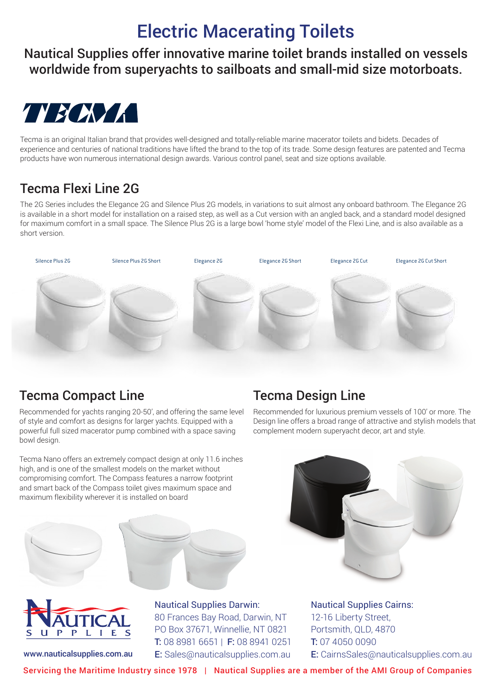# Electric Macerating Toilets

Nautical Supplies offer innovative marine toilet brands installed on vessels worldwide from superyachts to sailboats and small-mid size motorboats.



Tecma is an original Italian brand that provides well-designed and totally-reliable marine macerator toilets and bidets. Decades of experience and centuries of national traditions have lifted the brand to the top of its trade. Some design features are patented and Tecma experience and centuries of national traditions nave inted the brand to the top or its trade. Some design reatures<br>products have won numerous international design awards. Various control panel, seat and size options availa acerator to<br>Some desi

#### one of the strengths of the same design in every bathroom. With the same design in every bathroom. With the new flexi 2G technical contract  $\alpha$  and  $\alpha$  and  $\alpha$  and  $\alpha$  and  $\alpha$  and  $\alpha$  and  $\alpha$  and  $\alpha$  and  $\alpha$  and  $m_{\rm max}$  step and bidet. The silence Plus 2G is the foundation for the flexibility  $\sim$

The 2G Series includes the Elegance 2G and Silence Plus 2G models, in variations to suit almost any onboard bathroom. The Elegance 2G for maximum comfort in a small space. The Silence Plus 2G is a large bowl 'home style' model of the Flexi Line, and is also available as a<br>for maximum comfort in a small space. The Silence Plus 2G is a large bowl 'home sty is available in a short model for installation on a raised step, as well as a Cut version with an angled back, and a standard model designed short version.



## Tecma Compact Line

Recommended for yachts ranging 20-50', and offering the same level of style and comfort as designs for larger yachts. Equipped with a powerful full sized macerator pump combined with a space saving bowl design.

Tecma Nano offers an extremely compact design at only 11.6 inches high, and is one of the smallest models on the market without compromising comfort. The Compass features a narrow footprint and smart back of the Compass toilet gives maximum space and maximum flexibility wherever it is installed on board





www.nauticalsupplies.com.au

# Nautical Supplies Darwin:

80 Frances Bay Road, Darwin, NT PO Box 37671, Winnellie, NT 0821 T: 08 8981 6651 | F: 08 8941 0251 **E:** Sales@nauticalsupplies.com.au

## Tecma Design Line

Recommended for luxurious premium vessels of 100' or more. The Design line offers a broad range of attractive and stylish models that complement modern superyacht decor, art and style.



Nautical Supplies Cairns: 12-16 Liberty Street, Portsmith, QLD, 4870 T: 07 4050 0090 E: CairnsSales@nauticalsupplies.com.au

Servicing the Maritime Industry since 1978 | Nautical Supplies are a member of the AMI Group of Companies